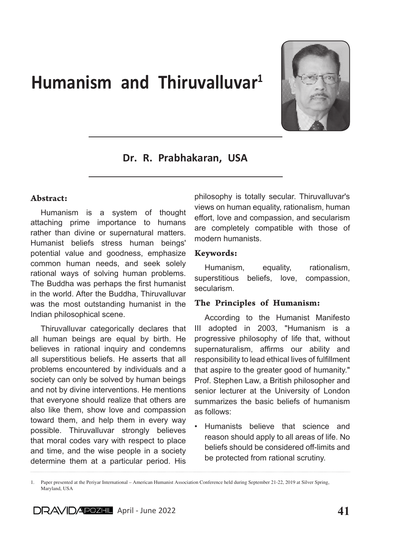# Humanism and Thiruvalluvar<sup>1</sup>



# Dr. R. Prabhakaran, USA

#### Abstract:

Humanism is a system of thought attaching prime importance to humans rather than divine or supernatural matters. Humanist beliefs stress human beings' potential value and goodness, emphasize common human needs, and seek solely rational ways of solving human problems. The Buddha was perhaps the first humanist in the world. After the Buddha, Thiruvalluvar was the most outstanding humanist in the Indian philosophical scene.

Thiruvalluvar categorically declares that all human beings are equal by birth. He believes in rational inquiry and condemns all superstitious beliefs. He asserts that all problems encountered by individuals and a society can only be solved by human beings and not by divine interventions. He mentions that everyone should realize that others are also like them, show love and compassion toward them, and help them in every way possible. Thiruvalluvar strongly believes that moral codes vary with respect to place and time, and the wise people in a society determine them at a particular period. His philosophy is totally secular. Thiruvalluvar's views on human equality, rationalism, human effort, love and compassion, and secularism are completely compatible with those of modern humanists.

#### Keywords:

Humanism, equality, rationalism, superstitious beliefs, love, compassion, secularism.

#### The Principles of Humanism:

According to the Humanist Manifesto III adopted in 2003, "Humanism is a progressive philosophy of life that, without supernaturalism, affirms our ability and responsibility to lead ethical lives of fulfillment that aspire to the greater good of humanity." Prof. Stephen Law, a British philosopher and senior lecturer at the University of London summarizes the basic beliefs of humanism as follows:

• Humanists believe that science and reason should apply to all areas of life. No beliefs should be considered off-limits and be protected from rational scrutiny.

<sup>1.</sup> Paper presented at the Periyar International – American Humanist Association Conference held during September 21-22, 2019 at Silver Spring, Maryland, USA

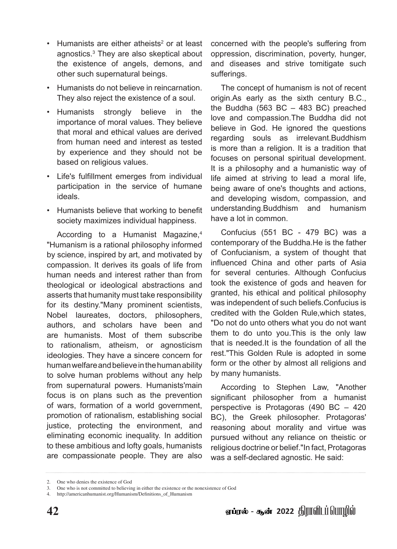- $\cdot$  Humanists are either atheists<sup>2</sup> or at least agnostics.3 They are also skeptical about the existence of angels, demons, and other such supernatural beings.
- Humanists do not believe in reincarnation. They also reject the existence of a soul.
- Humanists strongly believe in the importance of moral values. They believe that moral and ethical values are derived from human need and interest as tested by experience and they should not be based on religious values.
- Life's fulfillment emerges from individual participation in the service of humane ideals.
- Humanists believe that working to benefit society maximizes individual happiness.

According to a Humanist Magazine,<sup>4</sup> "Humanism is a rational philosophy informed by science, inspired by art, and motivated by compassion. It derives its goals of life from human needs and interest rather than from theological or ideological abstractions and asserts that humanity must take responsibility for its destiny."Many prominent scientists, Nobel laureates, doctors, philosophers, authors, and scholars have been and are humanists. Most of them subscribe to rationalism, atheism, or agnosticism ideologies. They have a sincere concern for human welfare and believe in the human ability to solve human problems without any help from supernatural powers. Humanists'main focus is on plans such as the prevention of wars, formation of a world government, promotion of rationalism, establishing social justice, protecting the environment, and eliminating economic inequality. In addition to these ambitious and lofty goals, humanists are compassionate people. They are also

concerned with the people's suffering from oppression, discrimination, poverty, hunger, and diseases and strive tomitigate such sufferings.

The concept of humanism is not of recent origin.As early as the sixth century B.C., the Buddha  $(563 \text{ BC} - 483 \text{ BC})$  preached love and compassion.The Buddha did not believe in God. He ignored the questions regarding souls as irrelevant.Buddhism is more than a religion. It is a tradition that focuses on personal spiritual development. It is a philosophy and a humanistic way of life aimed at striving to lead a moral life, being aware of one's thoughts and actions, and developing wisdom, compassion, and understanding.Buddhism and humanism have a lot in common.

Confucius (551 BC - 479 BC) was a contemporary of the Buddha.He is the father of Confucianism, a system of thought that influenced China and other parts of Asia for several centuries. Although Confucius took the existence of gods and heaven for granted, his ethical and political philosophy was independent of such beliefs.Confucius is credited with the Golden Rule,which states, "Do not do unto others what you do not want them to do unto you.This is the only law that is needed.It is the foundation of all the rest."This Golden Rule is adopted in some form or the other by almost all religions and by many humanists.

According to Stephen Law, "Another significant philosopher from a humanist perspective is Protagoras (490 BC – 420 BC), the Greek philosopher. Protagoras' reasoning about morality and virtue was pursued without any reliance on theistic or religious doctrine or belief."In fact, Protagoras was a self-declared agnostic. He said:

<sup>2.</sup> One who denies the existence of God

<sup>3.</sup> One who is not committed to believing in either the existence or the nonexistence of God

<sup>4.</sup> http://americanhumanist.org/Humanism/Definitions\_of\_Humanism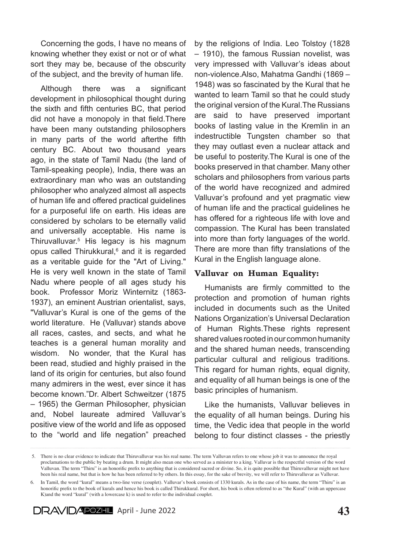Concerning the gods, I have no means of knowing whether they exist or not or of what sort they may be, because of the obscurity of the subject, and the brevity of human life.

Although there was a significant development in philosophical thought during the sixth and fifth centuries BC, that period did not have a monopoly in that field.There have been many outstanding philosophers in many parts of the world afterthe fifth century BC. About two thousand years ago, in the state of Tamil Nadu (the land of Tamil-speaking people), India, there was an extraordinary man who was an outstanding philosopher who analyzed almost all aspects of human life and offered practical guidelines for a purposeful life on earth. His ideas are considered by scholars to be eternally valid and universally acceptable. His name is Thiruvalluvar.5 His legacy is his magnum opus called Thirukkural,<sup>6</sup> and it is regarded as a veritable guide for the "Art of Living." He is very well known in the state of Tamil Nadu where people of all ages study his book. Professor Moriz Winternitz (1863- 1937), an eminent Austrian orientalist, says, "Valluvar's Kural is one of the gems of the world literature. He (Valluvar) stands above all races, castes, and sects, and what he teaches is a general human morality and wisdom. No wonder, that the Kural has been read, studied and highly praised in the land of its origin for centuries, but also found many admirers in the west, ever since it has become known."Dr. Albert Schweitzer (1875 – 1965) the German Philosopher, physician and, Nobel laureate admired Valluvar's positive view of the world and life as opposed to the "world and life negation" preached

by the religions of India. Leo Tolstoy (1828 – 1910), the famous Russian novelist, was very impressed with Valluvar's ideas about non-violence.Also, Mahatma Gandhi (1869 – 1948) was so fascinated by the Kural that he wanted to learn Tamil so that he could study the original version of the Kural.The Russians are said to have preserved important books of lasting value in the Kremlin in an indestructible Tungsten chamber so that they may outlast even a nuclear attack and be useful to posterity.The Kural is one of the books preserved in that chamber. Many other scholars and philosophers from various parts of the world have recognized and admired Valluvar's profound and yet pragmatic view of human life and the practical guidelines he has offered for a righteous life with love and compassion. The Kural has been translated into more than forty languages of the world. There are more than fifty translations of the Kural in the English language alone.

#### Valluvar on Human Equality:

Humanists are firmly committed to the protection and promotion of human rights included in documents such as the United Nations Organization's Universal Declaration of Human Rights.These rights represent shared values rooted in our common humanity and the shared human needs, transcending particular cultural and religious traditions. This regard for human rights, equal dignity, and equality of all human beings is one of the basic principles of humanism.

Like the humanists, Valluvar believes in the equality of all human beings. During his time, the Vedic idea that people in the world belong to four distinct classes - the priestly

<sup>6.</sup> In Tamil, the word "kural" means a two-line verse (couplet). Valluvar's book consists of 1330 kurals. As in the case of his name, the term "Thiru" is an honorific prefix to the book of kurals and hence his book is called Thirukkural. For short, his book is often referred to as "the Kural" (with an uppercase K)and the word "kural" (with a lowercase k) is used to refer to the individual couplet.



 <sup>5.</sup> There is no clear evidence to indicate that Thiruvalluvar was his real name. The term Valluvan refers to one whose job it was to announce the royal proclamations to the public by beating a drum. It might also mean one who served as a minister to a king. Valluvar is the respectful version of the word Valluvan. The term "Thiru" is an honorific prefix to anything that is considered sacred or divine. So, it is quite possible that Thiruvalluvar might not have been his real name, but that is how he has been referred to by others. In this essay, for the sake of brevity, we will refer to Thiruvalluvar as Valluvar.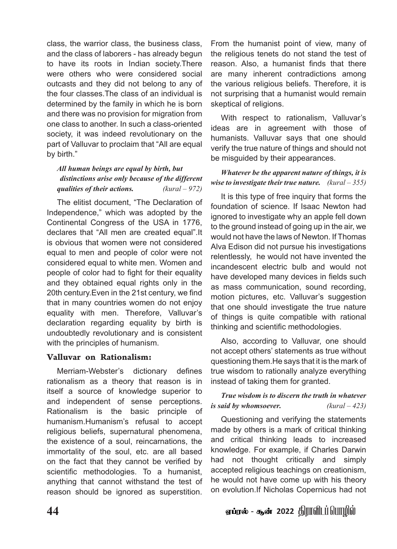class, the warrior class, the business class, and the class of laborers - has already begun to have its roots in Indian society.There were others who were considered social outcasts and they did not belong to any of the four classes.The class of an individual is determined by the family in which he is born and there was no provision for migration from one class to another. In such a class-oriented society, it was indeed revolutionary on the part of Valluvar to proclaim that "All are equal by birth."

## *All human beings are equal by birth, but distinctions arise only because of the different qualities of their actions. (kural – 972)*

The elitist document, "The Declaration of Independence," which was adopted by the Continental Congress of the USA in 1776, declares that "All men are created equal".It is obvious that women were not considered equal to men and people of color were not considered equal to white men. Women and people of color had to fight for their equality and they obtained equal rights only in the 20th century.Even in the 21st century, we find that in many countries women do not enjoy equality with men. Therefore, Valluvar's declaration regarding equality by birth is undoubtedly revolutionary and is consistent with the principles of humanism.

## Valluvar on Rationalism:

Merriam-Webster's dictionary defines rationalism as a theory that reason is in itself a source of knowledge superior to and independent of sense perceptions. Rationalism is the basic principle of humanism.Humanism's refusal to accept religious beliefs, supernatural phenomena, the existence of a soul, reincarnations, the immortality of the soul, etc. are all based on the fact that they cannot be verified by scientific methodologies. To a humanist, anything that cannot withstand the test of reason should be ignored as superstition.

From the humanist point of view, many of the religious tenets do not stand the test of reason. Also, a humanist finds that there are many inherent contradictions among the various religious beliefs. Therefore, it is not surprising that a humanist would remain skeptical of religions.

With respect to rationalism, Valluvar's ideas are in agreement with those of humanists. Valluvar says that one should verify the true nature of things and should not be misguided by their appearances.

## *Whatever be the apparent nature of things, it is wise to investigate their true nature. (kural – 355)*

It is this type of free inquiry that forms the foundation of science. If Isaac Newton had ignored to investigate why an apple fell down to the ground instead of going up in the air, we would not have the laws of Newton. If Thomas Alva Edison did not pursue his investigations relentlessly, he would not have invented the incandescent electric bulb and would not have developed many devices in fields such as mass communication, sound recording, motion pictures, etc. Valluvar's suggestion that one should investigate the true nature of things is quite compatible with rational thinking and scientific methodologies.

Also, according to Valluvar, one should not accept others' statements as true without questioning them.He says that it is the mark of true wisdom to rationally analyze everything instead of taking them for granted.

## *True wisdom is to discern the truth in whatever is said by whomsoever. (kural – 423)*

Questioning and verifying the statements made by others is a mark of critical thinking and critical thinking leads to increased knowledge. For example, if Charles Darwin had not thought critically and simply accepted religious teachings on creationism, he would not have come up with his theory on evolution.If Nicholas Copernicus had not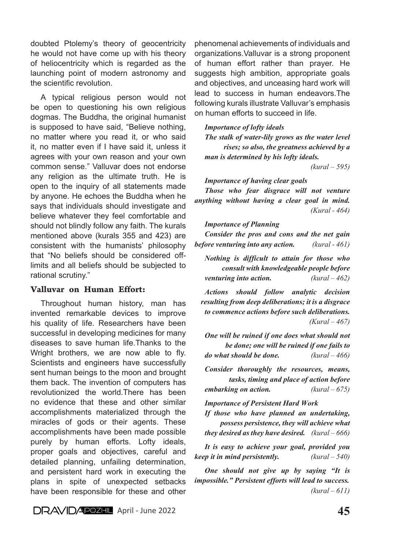doubted Ptolemy's theory of geocentricity he would not have come up with his theory of heliocentricity which is regarded as the launching point of modern astronomy and the scientific revolution.

A typical religious person would not be open to questioning his own religious dogmas. The Buddha, the original humanist is supposed to have said, "Believe nothing, no matter where you read it, or who said it, no matter even if I have said it, unless it agrees with your own reason and your own common sense." Valluvar does not endorse any religion as the ultimate truth. He is open to the inquiry of all statements made by anyone. He echoes the Buddha when he says that individuals should investigate and believe whatever they feel comfortable and should not blindly follow any faith. The kurals mentioned above (kurals 355 and 423) are consistent with the humanists' philosophy that "No beliefs should be considered offlimits and all beliefs should be subjected to rational scrutiny."

#### Valluvar on Human Effort:

Throughout human history, man has invented remarkable devices to improve his quality of life. Researchers have been successful in developing medicines for many diseases to save human life.Thanks to the Wright brothers, we are now able to fly. Scientists and engineers have successfully sent human beings to the moon and brought them back. The invention of computers has revolutionized the world.There has been no evidence that these and other similar accomplishments materialized through the miracles of gods or their agents. These accomplishments have been made possible purely by human efforts. Lofty ideals, proper goals and objectives, careful and detailed planning, unfailing determination, and persistent hard work in executing the plans in spite of unexpected setbacks have been responsible for these and other

phenomenal achievements of individuals and organizations.Valluvar is a strong proponent of human effort rather than prayer. He suggests high ambition, appropriate goals and objectives, and unceasing hard work will lead to success in human endeavors.The following kurals illustrate Valluvar's emphasis on human efforts to succeed in life.

#### *Importance of lofty ideals*

*The stalk of water-lily grows as the water level rises; so also, the greatness achieved by a man is determined by his lofty ideals.* 

 *(kural – 595)*

#### *Importance of having clear goals*

*Those who fear disgrace will not venture anything without having a clear goal in mind. (Kural - 464)*

#### *Importance of Planning*

*Consider the pros and cons and the net gain before venturing into any action. (kural - 461)*

*Nothing is difficult to attain for those who consult with knowledgeable people before venturing into action. (kural – 462)*

*Actions should follow analytic decision resulting from deep deliberations; it is a disgrace to commence actions before such deliberations. (Kural – 467)*

*One will be ruined if one does what should not be done; one will be ruined if one fails to do what should be done. (kural – 466)*

*Consider thoroughly the resources, means, tasks, timing and place of action before embarking on action. (kural – 675)*

*Importance of Persistent Hard Work*

*If those who have planned an undertaking, possess persistence, they will achieve what they desired as they have desired. (kural – 666)*

*It is easy to achieve your goal, provided you keep it in mind persistently. (kural – 540)*

*One should not give up by saying "It is impossible." Persistent efforts will lead to success. (kural – 611)*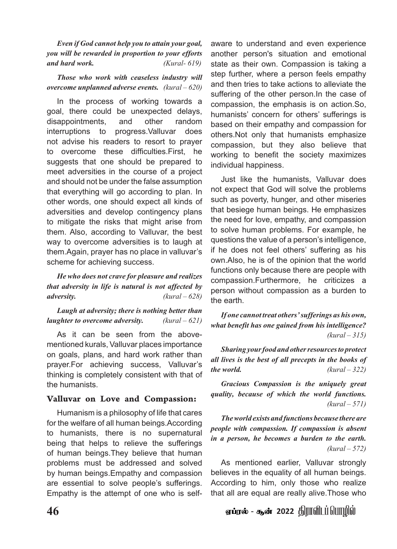*Even if God cannot help you to attain your goal, you will be rewarded in proportion to your efforts and hard work. (Kural- 619)*

*Those who work with ceaseless industry will overcome unplanned adverse events. (kural – 620)*

In the process of working towards a goal, there could be unexpected delays, disappointments, and other random interruptions to progress.Valluvar does not advise his readers to resort to prayer to overcome these difficulties.First, he suggests that one should be prepared to meet adversities in the course of a project and should not be under the false assumption that everything will go according to plan. In other words, one should expect all kinds of adversities and develop contingency plans to mitigate the risks that might arise from them. Also, according to Valluvar, the best way to overcome adversities is to laugh at them.Again, prayer has no place in valluvar's scheme for achieving success.

*He who does not crave for pleasure and realizes that adversity in life is natural is not affected by adversity. (kural – 628)*

*Laugh at adversity; there is nothing better than laughter to overcome adversity. (kural – 621)*

As it can be seen from the abovementioned kurals, Valluvar places importance on goals, plans, and hard work rather than prayer.For achieving success, Valluvar's thinking is completely consistent with that of the humanists.

## Valluvar on Love and Compassion:

Humanism is a philosophy of life that cares for the welfare of all human beings.According to humanists, there is no supernatural being that helps to relieve the sufferings of human beings.They believe that human problems must be addressed and solved by human beings.Empathy and compassion are essential to solve people's sufferings. Empathy is the attempt of one who is selfaware to understand and even experience another person's situation and emotional state as their own. Compassion is taking a step further, where a person feels empathy and then tries to take actions to alleviate the suffering of the other person.In the case of compassion, the emphasis is on action.So, humanists' concern for others' sufferings is based on their empathy and compassion for others.Not only that humanists emphasize compassion, but they also believe that working to benefit the society maximizes individual happiness.

Just like the humanists, Valluvar does not expect that God will solve the problems such as poverty, hunger, and other miseries that besiege human beings. He emphasizes the need for love, empathy, and compassion to solve human problems. For example, he questions the value of a person's intelligence, if he does not feel others' suffering as his own.Also, he is of the opinion that the world functions only because there are people with compassion.Furthermore, he criticizes a person without compassion as a burden to the earth.

*If one cannot treat others' sufferings as his own, what benefit has one gained from his intelligence? (kural – 315)*

*Sharing your food and other resources to protect all lives is the best of all precepts in the books of the world. (kural – 322)*

*Gracious Compassion is the uniquely great quality, because of which the world functions. (kural – 571)*

*The world exists and functions because there are people with compassion. If compassion is absent in a person, he becomes a burden to the earth. (kural – 572)*

As mentioned earlier, Valluvar strongly believes in the equality of all human beings. According to him, only those who realize that all are equal are really alive.Those who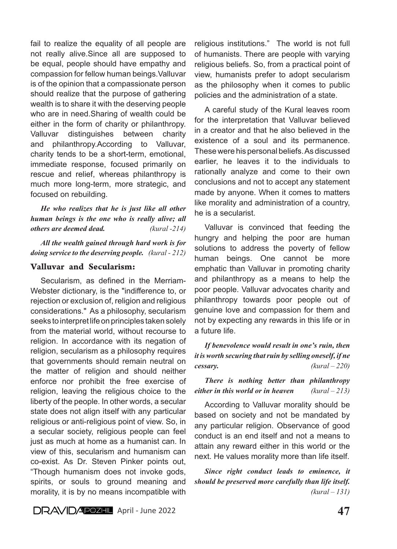fail to realize the equality of all people are not really alive.Since all are supposed to be equal, people should have empathy and compassion for fellow human beings.Valluvar is of the opinion that a compassionate person should realize that the purpose of gathering wealth is to share it with the deserving people who are in need.Sharing of wealth could be either in the form of charity or philanthropy. Valluvar distinguishes between charity and philanthropy.According to Valluvar, charity tends to be a short-term, emotional, immediate response, focused primarily on rescue and relief, whereas philanthropy is much more long-term, more strategic, and focused on rebuilding.

*He who realizes that he is just like all other human beings is the one who is really alive; all others are deemed dead. (kural -214)*

*All the wealth gained through hard work is for doing service to the deserving people. (kural - 212)* 

#### Valluvar and Secularism:

Secularism, as defined in the Merriam-Webster dictionary, is the "indifference to, or rejection or exclusion of, religion and religious considerations." As a philosophy, secularism seeks to interpret life on principles taken solely from the material world, without recourse to religion. In accordance with its negation of religion, secularism as a philosophy requires that governments should remain neutral on the matter of religion and should neither enforce nor prohibit the free exercise of religion, leaving the religious choice to the liberty of the people. In other words, a secular state does not align itself with any particular religious or anti-religious point of view. So, in a secular society, religious people can feel just as much at home as a humanist can. In view of this, secularism and humanism can co-exist. As Dr. Steven Pinker points out, "Though humanism does not invoke gods, spirits, or souls to ground meaning and morality, it is by no means incompatible with

religious institutions." The world is not full of humanists. There are people with varying religious beliefs. So, from a practical point of view, humanists prefer to adopt secularism as the philosophy when it comes to public policies and the administration of a state.

A careful study of the Kural leaves room for the interpretation that Valluvar believed in a creator and that he also believed in the existence of a soul and its permanence. These were his personal beliefs. As discussed earlier, he leaves it to the individuals to rationally analyze and come to their own conclusions and not to accept any statement made by anyone. When it comes to matters like morality and administration of a country, he is a secularist.

Valluvar is convinced that feeding the hungry and helping the poor are human solutions to address the poverty of fellow human beings. One cannot be more emphatic than Valluvar in promoting charity and philanthropy as a means to help the poor people. Valluvar advocates charity and philanthropy towards poor people out of genuine love and compassion for them and not by expecting any rewards in this life or in a future life.

*If benevolence would result in one's ruin, then it is worth securing that ruin by selling oneself, if ne cessary. (kural – 220)*

*There is nothing better than philanthropy either in this world or in heaven (kural – 213)* 

According to Valluvar morality should be based on society and not be mandated by any particular religion. Observance of good conduct is an end itself and not a means to attain any reward either in this world or the next. He values morality more than life itself.

*Since right conduct leads to eminence, it should be preserved more carefully than life itself. (kural – 131)*

**DRAVIDAPOZHL** April - June 2022 **47**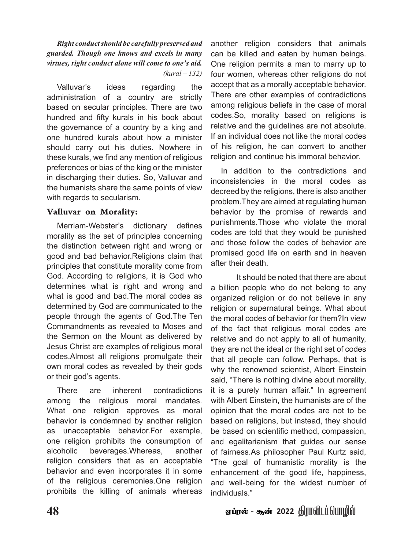*Right conduct should be carefully preserved and guarded. Though one knows and excels in many virtues, right conduct alone will come to one's aid. (kural – 132)*

Valluvar's ideas regarding the administration of a country are strictly based on secular principles. There are two hundred and fifty kurals in his book about the governance of a country by a king and one hundred kurals about how a minister should carry out his duties. Nowhere in these kurals, we find any mention of religious preferences or bias of the king or the minister in discharging their duties. So, Valluvar and the humanists share the same points of view with regards to secularism.

### Valluvar on Morality:

Merriam-Webster's dictionary defines morality as the set of principles concerning the distinction between right and wrong or good and bad behavior.Religions claim that principles that constitute morality come from God. According to religions, it is God who determines what is right and wrong and what is good and bad. The moral codes as determined by God are communicated to the people through the agents of God.The Ten Commandments as revealed to Moses and the Sermon on the Mount as delivered by Jesus Christ are examples of religious moral codes.Almost all religions promulgate their own moral codes as revealed by their gods or their god's agents.

There are inherent contradictions among the religious moral mandates. What one religion approves as moral behavior is condemned by another religion as unacceptable behavior.For example, one religion prohibits the consumption of alcoholic beverages.Whereas, another religion considers that as an acceptable behavior and even incorporates it in some of the religious ceremonies.One religion prohibits the killing of animals whereas

another religion considers that animals can be killed and eaten by human beings. One religion permits a man to marry up to four women, whereas other religions do not accept that as a morally acceptable behavior. There are other examples of contradictions among religious beliefs in the case of moral codes.So, morality based on religions is relative and the guidelines are not absolute. If an individual does not like the moral codes of his religion, he can convert to another religion and continue his immoral behavior.

In addition to the contradictions and inconsistencies in the moral codes as decreed by the religions, there is also another problem.They are aimed at regulating human behavior by the promise of rewards and punishments.Those who violate the moral codes are told that they would be punished and those follow the codes of behavior are promised good life on earth and in heaven after their death.

It should be noted that there are about a billion people who do not belong to any organized religion or do not believe in any religion or supernatural beings. What about the moral codes of behavior for them?In view of the fact that religious moral codes are relative and do not apply to all of humanity, they are not the ideal or the right set of codes that all people can follow. Perhaps, that is why the renowned scientist, Albert Einstein said, "There is nothing divine about morality, it is a purely human affair." In agreement with Albert Einstein, the humanists are of the opinion that the moral codes are not to be based on religions, but instead, they should be based on scientific method, compassion, and egalitarianism that guides our sense of fairness.As philosopher Paul Kurtz said, "The goal of humanistic morality is the enhancement of the good life, happiness, and well-being for the widest number of individuals."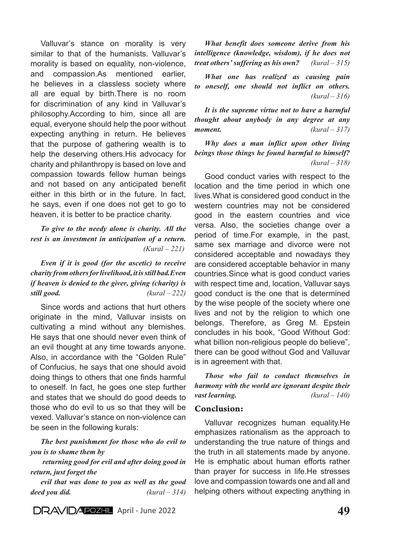Valluvar's stance on morality is very similar to that of the humanists. Valluvar's morality is based on equality, non-violence, and compassion.As mentioned earlier, he believes in a classless society where all are equal by birth.There is no room for discrimination of any kind in Valluvar's philosophy.According to him, since all are equal, everyone should help the poor without expecting anything in return. He believes that the purpose of gathering wealth is to help the deserving others.His advocacy for charity and philanthropy is based on love and compassion towards fellow human beings and not based on any anticipated benefit either in this birth or in the future. In fact, he says, even if one does not get to go to heaven, it is better to be practice charity.

*To give to the needy alone is charity. All the rest is an investment in anticipation of a return. (Kural – 221)*

*Even if it is good (for the ascetic) to receive charity from others for livelihood, it is still bad.Even if heaven is denied to the giver, giving (charity) is still good. (kural – 222)*

Since words and actions that hurt others originate in the mind, Valluvar insists on cultivating a mind without any blemishes. He says that one should never even think of an evil thought at any time towards anyone. Also, in accordance with the "Golden Rule" of Confucius, he says that one should avoid doing things to others that one finds harmful to oneself. In fact, he goes one step further and states that we should do good deeds to those who do evil to us so that they will be vexed. Valluvar's stance on non-violence can be seen in the following kurals:

*The best punishment for those who do evil to you is to shame them by*

 *returning good for evil and after doing good in return, just forget the* 

*evil that was done to you as well as the good deed you did. (kural – 314)*

**DRAVIDAPOZEL** April - June 2022 **49** 

*What benefit does someone derive from his intelligence (knowledge, wisdom), if he does not treat others' suffering as his own? (kural – 315)*

*What one has realized as causing pain to oneself, one should not inflict on others. (kural – 316)*

*It is the supreme virtue not to have a harmful thought about anybody in any degree at any moment. (kural – 317)*

*Why does a man inflict upon other living beings those things he found harmful to himself? (kural – 318)*

Good conduct varies with respect to the location and the time period in which one lives.What is considered good conduct in the western countries may not be considered good in the eastern countries and vice versa. Also, the societies change over a period of time.For example, in the past, same sex marriage and divorce were not considered acceptable and nowadays they are considered acceptable behavior in many countries.Since what is good conduct varies with respect time and, location, Valluvar says good conduct is the one that is determined by the wise people of the society where one lives and not by the religion to which one belongs. Therefore, as Greg M. Epstein concludes in his book, "Good Without God: what billion non-religious people do believe", there can be good without God and Valluvar is in agreement with that.

*Those who fail to conduct themselves in harmony with the world are ignorant despite their vast learning. (kural – 140)*

#### Conclusion:

Valluvar recognizes human equality.He emphasizes rationalism as the approach to understanding the true nature of things and the truth in all statements made by anyone. He is emphatic about human efforts rather than prayer for success in life.He stresses love and compassion towards one and all and helping others without expecting anything in